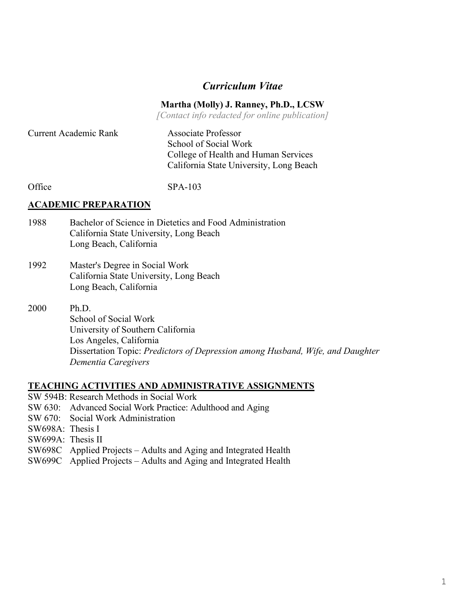# *Curriculum Vitae*

#### **Martha (Molly) J. Ranney, Ph.D., LCSW**

*[Contact info redacted for online publication]*

| <b>Current Academic Rank</b> | Associate Professor<br>School of Social Work<br>College of Health and Human Services |
|------------------------------|--------------------------------------------------------------------------------------|
|                              | California State University, Long Beach                                              |

Office SPA-103

#### **ACADEMIC PREPARATION**

- 1988 Bachelor of Science in Dietetics and Food Administration California State University, Long Beach Long Beach, California
- 1992 Master's Degree in Social Work California State University, Long Beach Long Beach, California
- 2000 Ph.D. School of Social Work University of Southern California Los Angeles, California Dissertation Topic: *Predictors of Depression among Husband, Wife, and Daughter Dementia Caregivers*

#### **TEACHING ACTIVITIES AND ADMINISTRATIVE ASSIGNMENTS**

- SW 594B: Research Methods in Social Work
- SW 630: Advanced Social Work Practice: Adulthood and Aging
- SW 670: Social Work Administration
- SW698A: Thesis I
- SW699A: Thesis II
- SW698C Applied Projects Adults and Aging and Integrated Health
- SW699C Applied Projects Adults and Aging and Integrated Health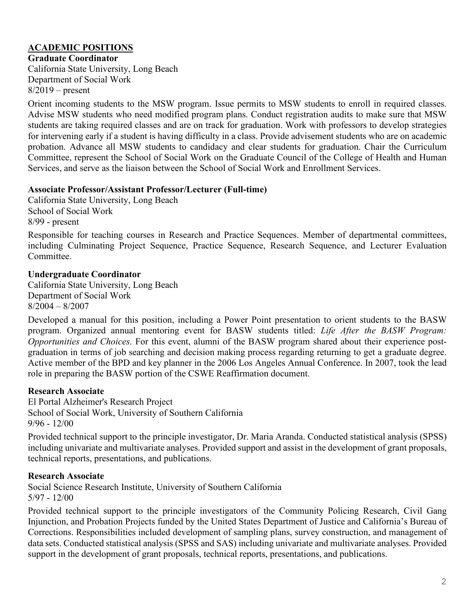# **ACADEMIC POSITIONS**

**Graduate Coordinator**

California State University, Long Beach Department of Social Work  $8/2019$  – present

Orient incoming students to the MSW program. Issue permits to MSW students to enroll in required classes. Advise MSW students who need modified program plans. Conduct registration audits to make sure that MSW students are taking required classes and are on track for graduation. Work with professors to develop strategies for intervening early if a student is having difficulty in a class. Provide advisement students who are on academic probation. Advance all MSW students to candidacy and clear students for graduation. Chair the Curriculum Committee, represent the School of Social Work on the Graduate Council of the College of Health and Human Services, and serve as the liaison between the School of Social Work and Enrollment Services.

#### **Associate Professor/Assistant Professor/Lecturer (Full-time)**

California State University, Long Beach School of Social Work 8/99 - present

Responsible for teaching courses in Research and Practice Sequences. Member of departmental committees, including Culminating Project Sequence, Practice Sequence, Research Sequence, and Lecturer Evaluation Committee.

## **Undergraduate Coordinator**

California State University, Long Beach Department of Social Work 8/2004 – 8/2007

Developed a manual for this position, including a Power Point presentation to orient students to the BASW program. Organized annual mentoring event for BASW students titled: *Life After the BASW Program: Opportunities and Choices.* For this event, alumni of the BASW program shared about their experience postgraduation in terms of job searching and decision making process regarding returning to get a graduate degree. Active member of the BPD and key planner in the 2006 Los Angeles Annual Conference. In 2007, took the lead role in preparing the BASW portion of the CSWE Reaffirmation document.

## **Research Associate**

El Portal Alzheimer's Research Project School of Social Work, University of Southern California  $9/96 - 12/00$ 

Provided technical support to the principle investigator, Dr. Maria Aranda. Conducted statistical analysis (SPSS) including univariate and multivariate analyses. Provided support and assist in the development of grant proposals, technical reports, presentations, and publications.

## **Research Associate**

Social Science Research Institute, University of Southern California 5/97 - 12/00

Provided technical support to the principle investigators of the Community Policing Research, Civil Gang Injunction, and Probation Projects funded by the United States Department of Justice and California's Bureau of Corrections. Responsibilities included development of sampling plans, survey construction, and management of data sets. Conducted statistical analysis (SPSS and SAS) including univariate and multivariate analyses. Provided support in the development of grant proposals, technical reports, presentations, and publications.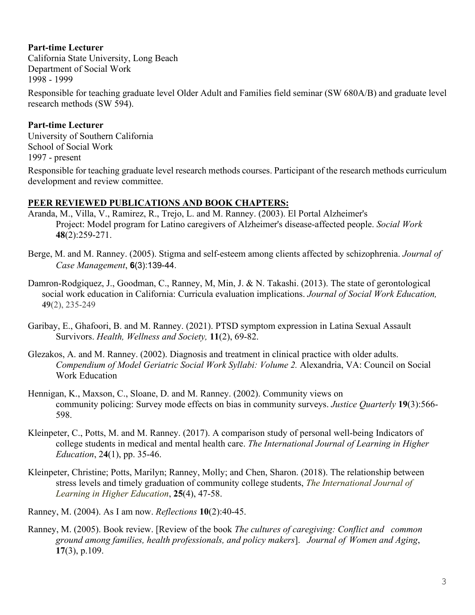## **Part-time Lecturer**

California State University, Long Beach Department of Social Work 1998 - 1999

Responsible for teaching graduate level Older Adult and Families field seminar (SW 680A/B) and graduate level research methods (SW 594).

#### **Part-time Lecturer**

University of Southern California School of Social Work 1997 - present

Responsible for teaching graduate level research methods courses. Participant of the research methods curriculum development and review committee.

### **PEER REVIEWED PUBLICATIONS AND BOOK CHAPTERS:**

- Aranda, M., Villa, V., Ramirez, R., Trejo, L. and M. Ranney. (2003). El Portal Alzheimer's Project: Model program for Latino caregivers of Alzheimer's disease-affected people. *Social Work* **48**(2):259-271.
- Berge, M. and M. Ranney. (2005). Stigma and self-esteem among clients affected by schizophrenia. *Journal of Case Management*, **6**(3):139-44.
- Damron-Rodgiquez, J., Goodman, C., Ranney, M, Min, J. & N. Takashi. (2013). The state of gerontological social work education in California: Curricula evaluation implications. *Journal of Social Work Education,* **49**(2), 235-249
- Garibay, E., Ghafoori, B. and M. Ranney. (2021). PTSD symptom expression in Latina Sexual Assault Survivors. *Health, Wellness and Society,* **11**(2), 69-82.
- Glezakos, A. and M. Ranney. (2002). Diagnosis and treatment in clinical practice with older adults. *Compendium of Model Geriatric Social Work Syllabi: Volume 2.* Alexandria, VA: Council on Social Work Education
- Hennigan, K., Maxson, C., Sloane, D. and M. Ranney. (2002). Community views on community policing: Survey mode effects on bias in community surveys. *Justice Quarterly* **19**(3):566- 598.
- Kleinpeter, C., Potts, M. and M. Ranney. (2017). A comparison study of personal well-being Indicators of college students in medical and mental health care. *The International Journal of Learning in Higher Education*, 2**4**(1), pp. 35-46.
- Kleinpeter, Christine; Potts, Marilyn; Ranney, Molly; and Chen, Sharon. (2018). The relationship between stress levels and timely graduation of community college students, *The International Journal of Learning in Higher Education*, **25**(4), 47-58.
- Ranney, M. (2004). As I am now. *Reflections* **10**(2):40-45.
- Ranney, M. (2005). Book review. [Review of the book *The cultures of caregiving: Conflict and common ground among families, health professionals, and policy makers*]. *Journal of Women and Aging*, **17**(3), p.109.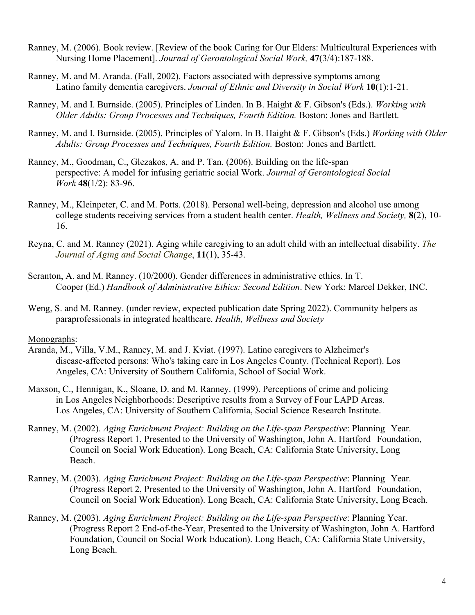- Ranney, M. (2006). Book review. [Review of the book Caring for Our Elders: Multicultural Experiences with Nursing Home Placement]. *Journal of Gerontological Social Work,* **47**(3/4):187-188.
- Ranney, M. and M. Aranda. (Fall, 2002). Factors associated with depressive symptoms among Latino family dementia caregivers. *Journal of Ethnic and Diversity in Social Work* **10**(1):1-21.
- Ranney, M. and I. Burnside. (2005). Principles of Linden. In B. Haight & F. Gibson's (Eds.). *Working with Older Adults: Group Processes and Techniques, Fourth Edition.* Boston: Jones and Bartlett.
- Ranney, M. and I. Burnside. (2005). Principles of Yalom. In B. Haight & F. Gibson's (Eds.) *Working with Older Adults: Group Processes and Techniques, Fourth Edition.* Boston: Jones and Bartlett.
- Ranney, M., Goodman, C., Glezakos, A. and P. Tan. (2006). Building on the life-span perspective: A model for infusing geriatric social Work. *Journal of Gerontological Social Work* **48**(1/2): 83-96.
- Ranney, M., Kleinpeter, C. and M. Potts. (2018). Personal well-being, depression and alcohol use among college students receiving services from a student health center. *Health, Wellness and Society,* **8**(2), 10- 16.
- Reyna, C. and M. Ranney (2021). Aging while caregiving to an adult child with an intellectual disability. *The Journal of Aging and Social Change*, **11**(1), 35-43.
- Scranton, A. and M. Ranney. (10/2000). Gender differences in administrative ethics. In T. Cooper (Ed.) *Handbook of Administrative Ethics: Second Edition*. New York: Marcel Dekker, INC.
- Weng, S. and M. Ranney. (under review, expected publication date Spring 2022). Community helpers as paraprofessionals in integrated healthcare. *Health, Wellness and Society*

#### Monographs:

- Aranda, M., Villa, V.M., Ranney, M. and J. Kviat. (1997). Latino caregivers to Alzheimer's disease-affected persons: Who's taking care in Los Angeles County. (Technical Report). Los Angeles, CA: University of Southern California, School of Social Work.
- Maxson, C., Hennigan, K., Sloane, D. and M. Ranney. (1999). Perceptions of crime and policing in Los Angeles Neighborhoods: Descriptive results from a Survey of Four LAPD Areas. Los Angeles, CA: University of Southern California, Social Science Research Institute.
- Ranney, M. (2002). *Aging Enrichment Project: Building on the Life-span Perspective*: Planning Year. (Progress Report 1, Presented to the University of Washington, John A. Hartford Foundation, Council on Social Work Education). Long Beach, CA: California State University, Long Beach.
- Ranney, M. (2003). *Aging Enrichment Project: Building on the Life-span Perspective*: Planning Year. (Progress Report 2, Presented to the University of Washington, John A. Hartford Foundation, Council on Social Work Education). Long Beach, CA: California State University, Long Beach.
- Ranney, M. (2003). *Aging Enrichment Project: Building on the Life-span Perspective*: Planning Year. (Progress Report 2 End-of-the-Year, Presented to the University of Washington, John A. Hartford Foundation, Council on Social Work Education). Long Beach, CA: California State University, Long Beach.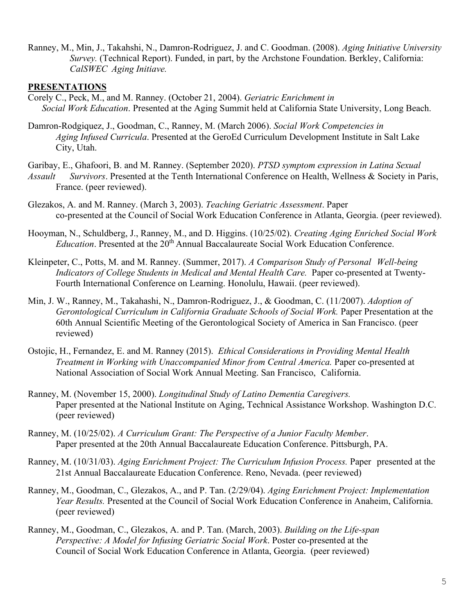Ranney, M., Min, J., Takahshi, N., Damron-Rodriguez, J. and C. Goodman. (2008). *Aging Initiative University Survey.* (Technical Report). Funded, in part, by the Archstone Foundation. Berkley, California: *CalSWEC Aging Initiave.*

#### **PRESENTATIONS**

- Corely C., Peck, M., and M. Ranney. (October 21, 2004). *Geriatric Enrichment in Social Work Education*. Presented at the Aging Summit held at California State University, Long Beach.
- Damron-Rodgiquez, J., Goodman, C., Ranney, M. (March 2006). *Social Work Competencies in Aging Infused Curricula*. Presented at the GeroEd Curriculum Development Institute in Salt Lake City, Utah.

Garibay, E., Ghafoori, B. and M. Ranney. (September 2020). *PTSD symptom expression in Latina Sexual* 

- *Assault Survivors*. Presented at the Tenth International Conference on Health, Wellness & Society in Paris, France. (peer reviewed).
- Glezakos, A. and M. Ranney. (March 3, 2003). *Teaching Geriatric Assessment*. Paper co-presented at the Council of Social Work Education Conference in Atlanta, Georgia. (peer reviewed).
- Hooyman, N., Schuldberg, J., Ranney, M., and D. Higgins. (10/25/02). *Creating Aging Enriched Social Work Education*. Presented at the 20<sup>th</sup> Annual Baccalaureate Social Work Education Conference.
- Kleinpeter, C., Potts, M. and M. Ranney. (Summer, 2017). *A Comparison Study of Personal Well-being Indicators of College Students in Medical and Mental Health Care.* Paper co-presented at Twenty-Fourth International Conference on Learning. Honolulu, Hawaii. (peer reviewed).
- Min, J. W., Ranney, M., Takahashi, N., Damron-Rodriguez, J., & Goodman, C. (11/2007). *Adoption of Gerontological Curriculum in California Graduate Schools of Social Work.* Paper Presentation at the 60th Annual Scientific Meeting of the Gerontological Society of America in San Francisco. (peer reviewed)
- Ostojic, H., Fernandez, E. and M. Ranney (2015). *Ethical Considerations in Providing Mental Health Treatment in Working with Unaccompanied Minor from Central America.* Paper co-presented at National Association of Social Work Annual Meeting. San Francisco, California.
- Ranney, M. (November 15, 2000). *Longitudinal Study of Latino Dementia Caregivers.* Paper presented at the National Institute on Aging, Technical Assistance Workshop. Washington D.C. (peer reviewed)
- Ranney, M. (10/25/02). *A Curriculum Grant: The Perspective of a Junior Faculty Member*. Paper presented at the 20th Annual Baccalaureate Education Conference. Pittsburgh, PA.
- Ranney, M. (10/31/03). *Aging Enrichment Project: The Curriculum Infusion Process.* Paper presented at the 21st Annual Baccalaureate Education Conference. Reno, Nevada. (peer reviewed)
- Ranney, M., Goodman, C., Glezakos, A., and P. Tan. (2/29/04). *Aging Enrichment Project: Implementation Year Results.* Presented at the Council of Social Work Education Conference in Anaheim, California. (peer reviewed)
- Ranney, M., Goodman, C., Glezakos, A. and P. Tan. (March, 2003). *Building on the Life-span Perspective: A Model for Infusing Geriatric Social Work*. Poster co-presented at the Council of Social Work Education Conference in Atlanta, Georgia. (peer reviewed)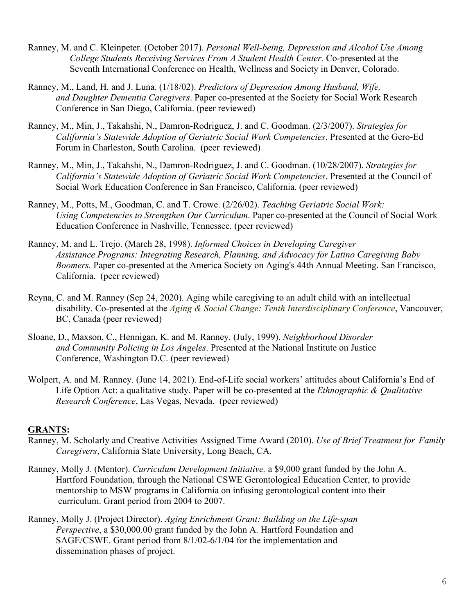- Ranney, M. and C. Kleinpeter. (October 2017). *Personal Well-being, Depression and Alcohol Use Among College Students Receiving Services From A Student Health Center.* Co-presented at the Seventh International Conference on Health, Wellness and Society in Denver, Colorado.
- Ranney, M., Land, H. and J. Luna. (1/18/02). *Predictors of Depression Among Husband, Wife, and Daughter Dementia Caregivers*. Paper co-presented at the Society for Social Work Research Conference in San Diego, California. (peer reviewed)
- Ranney, M., Min, J., Takahshi, N., Damron-Rodriguez, J. and C. Goodman. (2/3/2007). *Strategies for California's Statewide Adoption of Geriatric Social Work Competencies*. Presented at the Gero-Ed Forum in Charleston, South Carolina. (peer reviewed)
- Ranney, M., Min, J., Takahshi, N., Damron-Rodriguez, J. and C. Goodman. (10/28/2007). *Strategies for California's Statewide Adoption of Geriatric Social Work Competencies*. Presented at the Council of Social Work Education Conference in San Francisco, California. (peer reviewed)
- Ranney, M., Potts, M., Goodman, C. and T. Crowe. (2/26/02). *Teaching Geriatric Social Work: Using Competencies to Strengthen Our Curriculum*. Paper co-presented at the Council of Social Work Education Conference in Nashville, Tennessee. (peer reviewed)
- Ranney, M. and L. Trejo. (March 28, 1998). *Informed Choices in Developing Caregiver Assistance Programs: Integrating Research, Planning, and Advocacy for Latino Caregiving Baby Boomers.* Paper co-presented at the America Society on Aging's 44th Annual Meeting. San Francisco, California. (peer reviewed)
- Reyna, C. and M. Ranney (Sep 24, 2020). Aging while caregiving to an adult child with an intellectual disability. Co-presented at the *Aging & Social Change: Tenth Interdisciplinary Conference*, Vancouver, BC, Canada (peer reviewed)
- Sloane, D., Maxson, C., Hennigan, K. and M. Ranney. (July, 1999). *Neighborhood Disorder and Community Policing in Los Angeles*. Presented at the National Institute on Justice Conference, Washington D.C. (peer reviewed)
- Wolpert, A. and M. Ranney. (June 14, 2021). End-of-Life social workers' attitudes about California's End of Life Option Act: a qualitative study. Paper will be co-presented at the *Ethnographic & Qualitative Research Conference*, Las Vegas, Nevada. (peer reviewed)

## **GRANTS:**

- Ranney, M. Scholarly and Creative Activities Assigned Time Award (2010). *Use of Brief Treatment for Family Caregivers*, California State University, Long Beach, CA.
- Ranney, Molly J. (Mentor). *Curriculum Development Initiative,* a \$9,000 grant funded by the John A. Hartford Foundation, through the National CSWE Gerontological Education Center, to provide mentorship to MSW programs in California on infusing gerontological content into their curriculum. Grant period from 2004 to 2007.
- Ranney, Molly J. (Project Director). *Aging Enrichment Grant: Building on the Life-span Perspective*, a \$30,000.00 grant funded by the John A. Hartford Foundation and SAGE/CSWE. Grant period from 8/1/02-6/1/04 for the implementation and dissemination phases of project.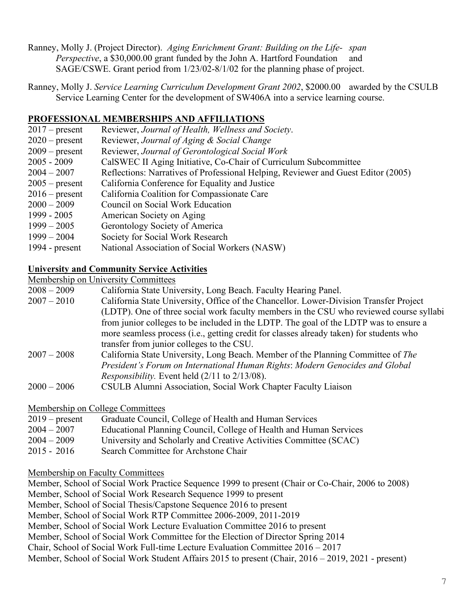- Ranney, Molly J. (Project Director). *Aging Enrichment Grant: Building on the Life- span Perspective*, a \$30,000.00 grant funded by the John A. Hartford Foundation and SAGE/CSWE. Grant period from 1/23/02-8/1/02 for the planning phase of project.
- Ranney, Molly J. *Service Learning Curriculum Development Grant 2002*, \$2000.00 awarded by the CSULB Service Learning Center for the development of SW406A into a service learning course.

## **PROFESSIONAL MEMBERSHIPS AND AFFILIATIONS**

- 2017 present Reviewer, *Journal of Health, Wellness and Society*.
- 2020 present Reviewer, *Journal of Aging & Social Change*
- 2009 present Reviewer, *Journal of Gerontological Social Work*
- 2005 2009 CalSWEC II Aging Initiative, Co-Chair of Curriculum Subcommittee
- 2004 2007 Reflections: Narratives of Professional Helping, Reviewer and Guest Editor (2005)
- 2005 present California Conference for Equality and Justice
- 2016 present California Coalition for Compassionate Care
- 2000 2009 Council on Social Work Education
- 1999 2005 American Society on Aging
- 1999 2005 Gerontology Society of America
- 1999 2004 Society for Social Work Research
- 1994 present National Association of Social Workers (NASW)

## **University and Community Service Activities**

#### Membership on University Committees

| $2008 - 2009$ | California State University, Long Beach. Faculty Hearing Panel.                         |
|---------------|-----------------------------------------------------------------------------------------|
| $2007 - 2010$ | California State University, Office of the Chancellor. Lower-Division Transfer Project  |
|               | (LDTP). One of three social work faculty members in the CSU who reviewed course syllabi |
|               | from junior colleges to be included in the LDTP. The goal of the LDTP was to ensure a   |
|               | more seamless process (i.e., getting credit for classes already taken) for students who |
|               | transfer from junior colleges to the CSU.                                               |
| $2007 - 2008$ | California State University, Long Beach. Member of the Planning Committee of The        |
|               | President's Forum on International Human Rights: Modern Genocides and Global            |
|               | <i>Responsibility.</i> Event held $(2/11$ to $2/13/08$ ).                               |
| $2000 - 2006$ | CSULB Alumni Association, Social Work Chapter Faculty Liaison                           |

Membership on College Committees

| $2019$ – present | Graduate Council, College of Health and Human Services             |
|------------------|--------------------------------------------------------------------|
| $2004 - 2007$    | Educational Planning Council, College of Health and Human Services |
| $2004 - 2009$    | University and Scholarly and Creative Activities Committee (SCAC)  |
| $2015 - 2016$    | Search Committee for Archstone Chair                               |

#### Membership on Faculty Committees

Member, School of Social Work Practice Sequence 1999 to present (Chair or Co-Chair, 2006 to 2008) Member, School of Social Work Research Sequence 1999 to present

Member, School of Social Thesis/Capstone Sequence 2016 to present

Member, School of Social Work RTP Committee 2006-2009, 2011-2019

Member, School of Social Work Lecture Evaluation Committee 2016 to present

Member, School of Social Work Committee for the Election of Director Spring 2014

Chair, School of Social Work Full-time Lecture Evaluation Committee 2016 – 2017

Member, School of Social Work Student Affairs 2015 to present (Chair, 2016 – 2019, 2021 - present)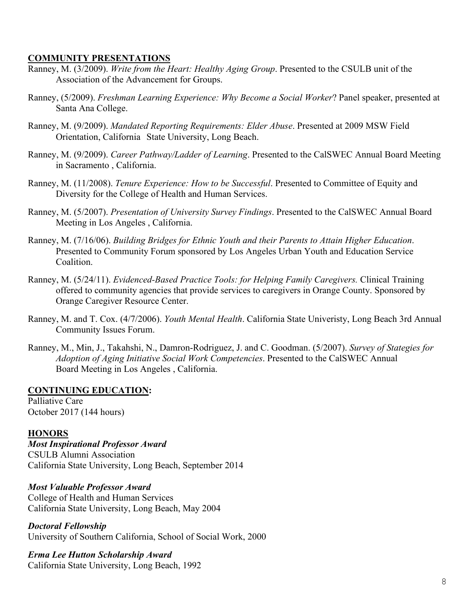## **COMMUNITY PRESENTATIONS**

- Ranney, M. (3/2009). *Write from the Heart: Healthy Aging Group*. Presented to the CSULB unit of the Association of the Advancement for Groups.
- Ranney, (5/2009). *Freshman Learning Experience: Why Become a Social Worker*? Panel speaker, presented at Santa Ana College.
- Ranney, M. (9/2009). *Mandated Reporting Requirements: Elder Abuse*. Presented at 2009 MSW Field Orientation, California State University, Long Beach.
- Ranney, M. (9/2009). *Career Pathway/Ladder of Learning*. Presented to the CalSWEC Annual Board Meeting in Sacramento , California.
- Ranney, M. (11/2008). *Tenure Experience: How to be Successful*. Presented to Committee of Equity and Diversity for the College of Health and Human Services.
- Ranney, M. (5/2007). *Presentation of University Survey Findings*. Presented to the CalSWEC Annual Board Meeting in Los Angeles , California.
- Ranney, M. (7/16/06). *Building Bridges for Ethnic Youth and their Parents to Attain Higher Education*. Presented to Community Forum sponsored by Los Angeles Urban Youth and Education Service Coalition.
- Ranney, M. (5/24/11). *Evidenced-Based Practice Tools: for Helping Family Caregivers.* Clinical Training offered to community agencies that provide services to caregivers in Orange County. Sponsored by Orange Caregiver Resource Center.
- Ranney, M. and T. Cox. (4/7/2006). *Youth Mental Health*. California State Univeristy, Long Beach 3rd Annual Community Issues Forum.
- Ranney, M., Min, J., Takahshi, N., Damron-Rodriguez, J. and C. Goodman. (5/2007). *Survey of Stategies for Adoption of Aging Initiative Social Work Competencies*. Presented to the CalSWEC Annual Board Meeting in Los Angeles , California.

## **CONTINUING EDUCATION:**

Palliative Care October 2017 (144 hours)

#### **HONORS**

*Most Inspirational Professor Award* CSULB Alumni Association California State University, Long Beach, September 2014

## *Most Valuable Professor Award*

College of Health and Human Services California State University, Long Beach, May 2004

*Doctoral Fellowship*

University of Southern California, School of Social Work, 2000

## *Erma Lee Hutton Scholarship Award*

California State University, Long Beach, 1992